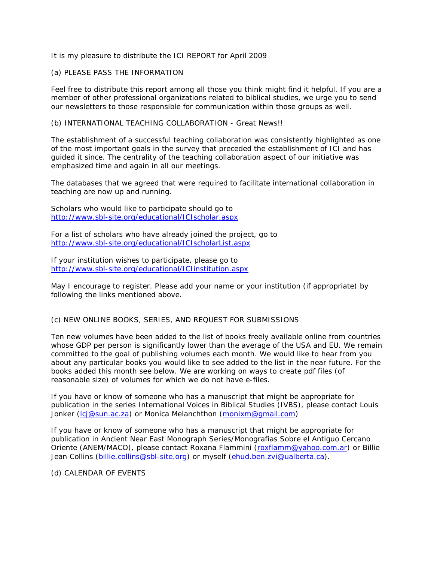# It is my pleasure to distribute the ICI REPORT for April 2009

# (a) PLEASE PASS THE INFORMATION

Feel free to distribute this report among all those you think might find it helpful. If you are a member of other professional organizations related to biblical studies, we urge you to send our newsletters to those responsible for communication within those groups as well.

#### (b) INTERNATIONAL TEACHING COLLABORATION - Great News!!

The establishment of a successful teaching collaboration was consistently highlighted as one of the most important goals in the survey that preceded the establishment of ICI and has guided it since. The centrality of the teaching collaboration aspect of our initiative was emphasized time and again in all our meetings.

The databases that we agreed that were required to facilitate international collaboration in teaching are now up and running.

Scholars who would like to participate should go to <http://www.sbl-site.org/educational/ICIscholar.aspx>

For a list of scholars who have already joined the project, go to <http://www.sbl-site.org/educational/ICIscholarList.aspx>

If your institution wishes to participate, please go to <http://www.sbl-site.org/educational/ICIinstitution.aspx>

May I encourage to register. Please add your name or your institution (if appropriate) by following the links mentioned above.

# (c) NEW ONLINE BOOKS, SERIES, AND REQUEST FOR SUBMISSIONS

Ten new volumes have been added to the list of books freely available online from countries whose GDP per person is significantly lower than the average of the USA and EU. We remain committed to the goal of publishing volumes each month. We would like to hear from you about any particular books you would like to see added to the list in the near future. For the books added this month see below. We are working on ways to create pdf files (of reasonable size) of volumes for which we do not have e-files.

If you have or know of someone who has a manuscript that might be appropriate for publication in the series International Voices in Biblical Studies (IVBS), please contact Louis Jonker (Icj@sun.ac.za) or Monica Melanchthon [\(monixm@gmail.com\)](mailto:monixm@gmail.com)

If you have or know of someone who has a manuscript that might be appropriate for publication in Ancient Near East Monograph Series/Monografias Sobre el Antiguo Cercano Oriente (ANEM/MACO), please contact Roxana Flammini [\(roxflamm@yahoo.com.ar\)](mailto:roxflamm@yahoo.com.ar) or Billie Jean Collins [\(billie.collins@sbl-site.org\)](mailto:billie.collins@sbl-site.org) or myself [\(ehud.ben.zvi@ualberta.ca\)](mailto:ehud.ben.zvi@ualberta.ca).

(d) CALENDAR OF EVENTS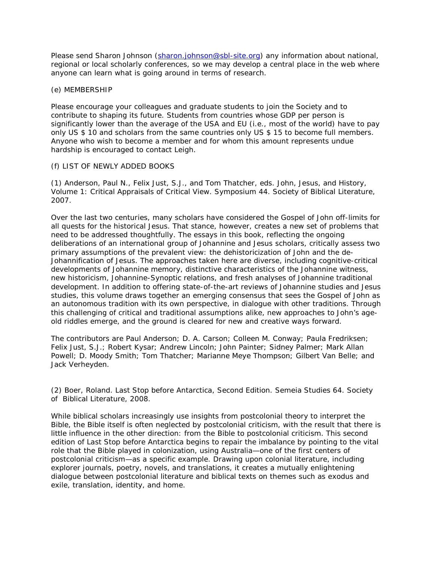Please send Sharon Johnson [\(sharon.johnson@sbl-site.org\)](mailto:sharon.johnson@sbl-site.org) any information about national, regional or local scholarly conferences, so we may develop a central place in the web where anyone can learn what is going around in terms of research.

#### (e) MEMBERSHIP

Please encourage your colleagues and graduate students to join the Society and to contribute to shaping its future. Students from countries whose GDP per person is significantly lower than the average of the USA and EU (i.e., most of the world) have to pay only US \$ 10 and scholars from the same countries only US \$ 15 to become full members. Anyone who wish to become a member and for whom this amount represents undue hardship is encouraged to contact Leigh.

# (f) LIST OF NEWLY ADDED BOOKS

(1) Anderson, Paul N., Felix Just, S.J., and Tom Thatcher, eds*. John, Jesus, and History, Volume 1: Critical Appraisals of Critical View.* Symposium 44. Society of Biblical Literature, 2007.

Over the last two centuries, many scholars have considered the Gospel of John off-limits for all quests for the historical Jesus. That stance, however, creates a new set of problems that need to be addressed thoughtfully. The essays in this book, reflecting the ongoing deliberations of an international group of Johannine and Jesus scholars, critically assess two primary assumptions of the prevalent view: the *dehistoricization of John* and the *de-Johannification of Jesus*. The approaches taken here are diverse, including cognitive-critical developments of Johannine memory, distinctive characteristics of the Johannine witness, new historicism, Johannine-Synoptic relations, and fresh analyses of Johannine traditional development. In addition to offering state-of-the-art reviews of Johannine studies and Jesus studies, this volume draws together an emerging consensus that sees the Gospel of John as an autonomous tradition with its own perspective, in dialogue with other traditions. Through this challenging of critical and traditional assumptions alike, new approaches to John's ageold riddles emerge, and the ground is cleared for new and creative ways forward.

The contributors are Paul Anderson; D. A. Carson; Colleen M. Conway; Paula Fredriksen; Felix Just, S.J.; Robert Kysar; Andrew Lincoln; John Painter; Sidney Palmer; Mark Allan Powell; D. Moody Smith; Tom Thatcher; Marianne Meye Thompson; Gilbert Van Belle; and Jack Verheyden.

(2) Boer, Roland. *Last Stop before Antarctica, Second Edition.* Semeia Studies 64. Society of Biblical Literature, 2008.

While biblical scholars increasingly use insights from postcolonial theory to interpret the Bible, the Bible itself is often neglected by postcolonial criticism, with the result that there is little influence in the other direction: from the Bible to postcolonial criticism. This second edition of *Last Stop before Antarctica* begins to repair the imbalance by pointing to the vital role that the Bible played in colonization, using Australia—one of the first centers of postcolonial criticism—as a specific example. Drawing upon colonial literature, including explorer journals, poetry, novels, and translations, it creates a mutually enlightening dialogue between postcolonial literature and biblical texts on themes such as exodus and exile, translation, identity, and home.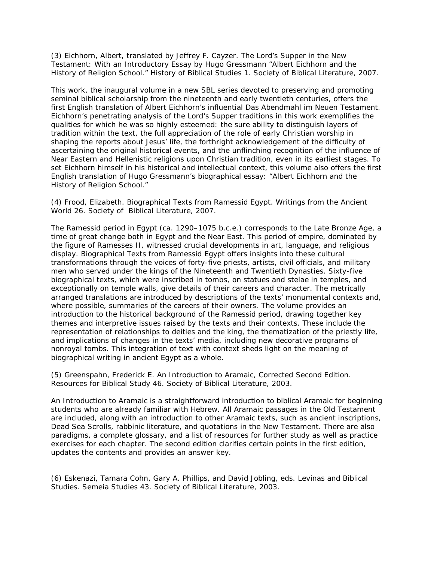(3) Eichhorn, Albert, translated by Jeffrey F. Cayzer. *The Lord's Supper in the New Testament: With an Introductory Essay by Hugo Gressmann* "Albert Eichhorn and the History of Religion School." History of Biblical Studies 1. Society of Biblical Literature, 2007.

This work, the inaugural volume in a new SBL series devoted to preserving and promoting seminal biblical scholarship from the nineteenth and early twentieth centuries, offers the first English translation of Albert Eichhorn's influential *Das Abendmahl im Neuen Testament*. Eichhorn's penetrating analysis of the Lord's Supper traditions in this work exemplifies the qualities for which he was so highly esteemed: the sure ability to distinguish layers of tradition within the text, the full appreciation of the role of early Christian worship in shaping the reports about Jesus' life, the forthright acknowledgement of the difficulty of ascertaining the original historical events, and the unflinching recognition of the influence of Near Eastern and Hellenistic religions upon Christian tradition, even in its earliest stages. To set Eichhorn himself in his historical and intellectual context, this volume also offers the first English translation of Hugo Gressmann's biographical essay: "Albert Eichhorn and the History of Religion School."

(4) Frood, Elizabeth. *Biographical Texts from Ramessid Egypt.* Writings from the Ancient World 26. Society of Biblical Literature, 2007.

The Ramessid period in Egypt (ca. 1290–1075 b.c.e.) corresponds to the Late Bronze Age, a time of great change both in Egypt and the Near East. This period of empire, dominated by the figure of Ramesses II, witnessed crucial developments in art, language, and religious display. *Biographical Texts from Ramessid Egypt* offers insights into these cultural transformations through the voices of forty-five priests, artists, civil officials, and military men who served under the kings of the Nineteenth and Twentieth Dynasties. Sixty-five biographical texts, which were inscribed in tombs, on statues and stelae in temples, and exceptionally on temple walls, give details of their careers and character. The metrically arranged translations are introduced by descriptions of the texts' monumental contexts and, where possible, summaries of the careers of their owners. The volume provides an introduction to the historical background of the Ramessid period, drawing together key themes and interpretive issues raised by the texts and their contexts. These include the representation of relationships to deities and the king, the thematization of the priestly life, and implications of changes in the texts' media, including new decorative programs of nonroyal tombs. This integration of text with context sheds light on the meaning of biographical writing in ancient Egypt as a whole.

(5) Greenspahn, Frederick E. *An Introduction to Aramaic, Corrected Second Edition.*  Resources for Biblical Study 46. Society of Biblical Literature, 2003.

*An Introduction to Aramaic* is a straightforward introduction to biblical Aramaic for beginning students who are already familiar with Hebrew. All Aramaic passages in the Old Testament are included, along with an introduction to other Aramaic texts, such as ancient inscriptions, Dead Sea Scrolls, rabbinic literature, and quotations in the New Testament. There are also paradigms, a complete glossary, and a list of resources for further study as well as practice exercises for each chapter. The second edition clarifies certain points in the first edition, updates the contents and provides an answer key.

(6) Eskenazi, Tamara Cohn, Gary A. Phillips, and David Jobling, eds. *Levinas and Biblical Studies.* Semeia Studies 43. Society of Biblical Literature, 2003.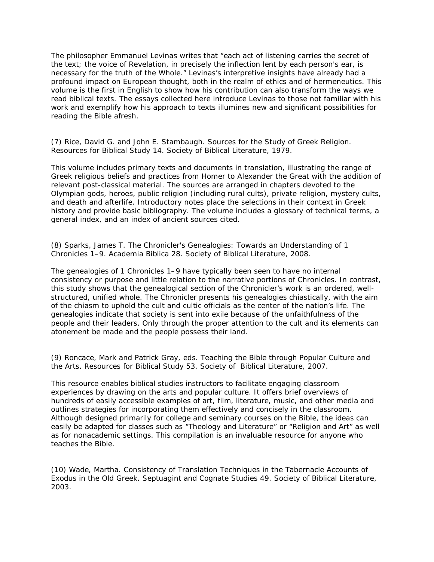The philosopher Emmanuel Levinas writes that "each act of listening carries the secret of the text; the voice of Revelation, in precisely the inflection lent by each person's ear, is necessary for the truth of the Whole." Levinas's interpretive insights have already had a profound impact on European thought, both in the realm of ethics and of hermeneutics. This volume is the first in English to show how his contribution can also transform the ways we read biblical texts. The essays collected here introduce Levinas to those not familiar with his work and exemplify how his approach to texts illumines new and significant possibilities for reading the Bible afresh.

(7) Rice, David G. and John E. Stambaugh. *Sources for the Study of Greek Religion.*  Resources for Biblical Study 14. Society of Biblical Literature, 1979.

This volume includes primary texts and documents in translation, illustrating the range of Greek religious beliefs and practices from Homer to Alexander the Great with the addition of relevant post-classical material. The sources are arranged in chapters devoted to the Olympian gods, heroes, public religion (including rural cults), private religion, mystery cults, and death and afterlife. Introductory notes place the selections in their context in Greek history and provide basic bibliography. The volume includes a glossary of technical terms, a general index, and an index of ancient sources cited.

(8) Sparks, James T. *The Chronicler's Genealogies: Towards an Understanding of 1 Chronicles 1–9.* Academia Biblica 28. Society of Biblical Literature, 2008.

The genealogies of 1 Chronicles 1–9 have typically been seen to have no internal consistency or purpose and little relation to the narrative portions of Chronicles. In contrast, this study shows that the genealogical section of the Chronicler's work is an ordered, wellstructured, unified whole. The Chronicler presents his genealogies chiastically, with the aim of the chiasm to uphold the cult and cultic officials as the center of the nation's life. The genealogies indicate that society is sent into exile because of the unfaithfulness of the people and their leaders. Only through the proper attention to the cult and its elements can atonement be made and the people possess their land.

(9) Roncace, Mark and Patrick Gray, eds. *Teaching the Bible through Popular Culture and the Arts.* Resources for Biblical Study 53. Society of Biblical Literature, 2007.

This resource enables biblical studies instructors to facilitate engaging classroom experiences by drawing on the arts and popular culture. It offers brief overviews of hundreds of easily accessible examples of art, film, literature, music, and other media and outlines strategies for incorporating them effectively and concisely in the classroom. Although designed primarily for college and seminary courses on the Bible, the ideas can easily be adapted for classes such as "Theology and Literature" or "Religion and Art" as well as for nonacademic settings. This compilation is an invaluable resource for anyone who teaches the Bible.

(10) Wade, Martha. *Consistency of Translation Techniques in the Tabernacle Accounts of Exodus in the Old Greek.* Septuagint and Cognate Studies 49. Society of Biblical Literature, 2003.